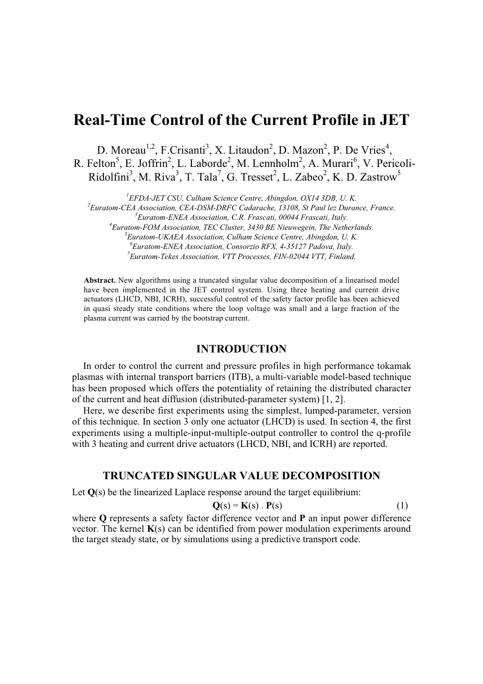# **Real-Time Control of the Current Profile in JET**

D. Moreau<sup>1,2</sup>, F.Crisanti<sup>3</sup>, X. Litaudon<sup>2</sup>, D. Mazon<sup>2</sup>, P. De Vries<sup>4</sup>, R. Felton<sup>5</sup>, E. Joffrin<sup>2</sup>, L. Laborde<sup>2</sup>, M. Lennholm<sup>2</sup>, A. Murari<sup>6</sup>, V. Pericoli-Ridolfini<sup>3</sup>, M. Riva<sup>3</sup>, T. Tala<sup>7</sup>, G. Tresset<sup>2</sup>, L. Zabeo<sup>2</sup>, K. D. Zastrow<sup>5</sup>

*1 EFDA-JET CSU, Culham Science Centre, Abingdon, OX14 3DB, U. K.*

*2 Euratom-CEA Association, CEA-DSM-DRFC Cadarache, 13108, St Paul lez Durance, France.*

*3 Euratom-ENEA Association, C.R. Frascati, 00044 Frascati, Italy.*

*4 Euratom-FOM Association, TEC Cluster, 3430 BE Nieuwegein, The Netherlands.*

*5 Euratom-UKAEA Association, Culham Science Centre, Abingdon, U. K.*

*6 Euratom-ENEA Association, Consorzio RFX, 4-35127 Padova, Italy.*

*7 Euratom-Tekes Association, VTT Processes, FIN-02044 VTT, Finland.*

**Abstract.** New algorithms using a truncated singular value decomposition of a linearised model have been implemented in the JET control system. Using three heating and current drive actuators (LHCD, NBI, ICRH), successful control of the safety factor profile has been achieved in quasi steady state conditions where the loop voltage was small and a large fraction of the plasma current was carried by the bootstrap current.

#### **INTRODUCTION**

In order to control the current and pressure profiles in high performance tokamak plasmas with internal transport barriers (ITB), a multi-variable model-based technique has been proposed which offers the potentiality of retaining the distributed character of the current and heat diffusion (distributed-parameter system) [1, 2].

Here, we describe first experiments using the simplest, lumped-parameter, version of this technique. In section 3 only one actuator (LHCD) is used. In section 4, the first experiments using a multiple-input-multiple-output controller to control the q-profile with 3 heating and current drive actuators (LHCD, NBI, and ICRH) are reported.

# **TRUNCATED SINGULAR VALUE DECOMPOSITION**

Let **Q**(s) be the linearized Laplace response around the target equilibrium:

$$
\mathbf{Q}(s) = \mathbf{K}(s) \cdot \mathbf{P}(s) \tag{1}
$$

where **Q** represents a safety factor difference vector and **P** an input power difference vector. The kernel **K**(s) can be identified from power modulation experiments around the target steady state, or by simulations using a predictive transport code.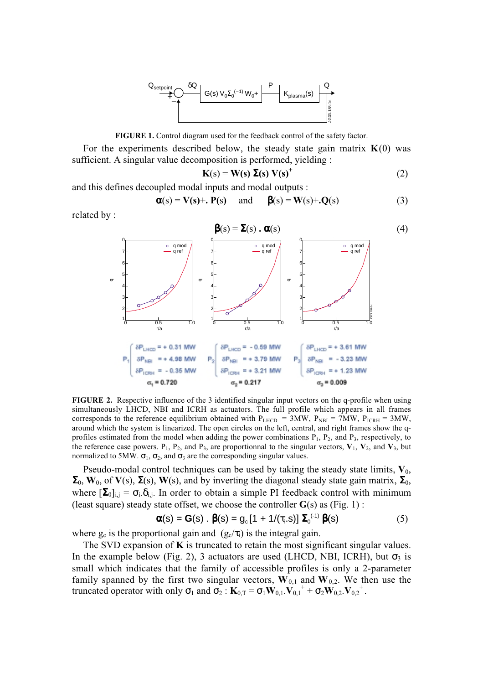

**FIGURE 1.** Control diagram used for the feedback control of the safety factor.

For the experiments described below, the steady state gain matrix  $K(0)$  was sufficient. A singular value decomposition is performed, yielding :

$$
\mathbf{K}(s) = \mathbf{W}(s) \ \boldsymbol{\Sigma}(s) \ \mathbf{V}(s)^{+}
$$
 (2)

and this defines decoupled modal inputs and modal outputs :

$$
\alpha(s) = V(s) + P(s) \quad \text{and} \quad \beta(s) = W(s) + Q(s) \tag{3}
$$

related by :



**FIGURE 2.** Respective influence of the 3 identified singular input vectors on the q-profile when using simultaneously LHCD, NBI and ICRH as actuators. The full profile which appears in all frames corresponds to the reference equilibrium obtained with  $P_{LHCD} = 3MW$ ,  $P_{NBI} = 7MW$ ,  $P_{ICRH} = 3MW$ , around which the system is linearized. The open circles on the left, central, and right frames show the qprofiles estimated from the model when adding the power combinations  $P_1$ ,  $P_2$ , and  $P_3$ , respectively, to the reference case powers.  $P_1$ ,  $P_2$ , and  $P_3$ , are proportionnal to the singular vectors,  $V_1$ ,  $V_2$ , and  $V_3$ , but normalized to 5MW.  $\sigma_1$ ,  $\sigma_2$ , and  $\sigma_3$  are the corresponding singular values.

Pseudo-modal control techniques can be used by taking the steady state limits,  $V_0$ ,  $\Sigma_0$ , **W**<sub>0</sub>, of **V**(s),  $\Sigma(s)$ , **W**(s), and by inverting the diagonal steady state gain matrix,  $\Sigma_0$ , where  $[\Sigma_0]_{i,j} = \sigma_i \delta_{i,j}$ . In order to obtain a simple PI feedback control with minimum (least square) steady state offset, we choose the controller **G**(s) as (Fig. 1) :

$$
\boldsymbol{\alpha}(s) = \mathbf{G}(s) \cdot \boldsymbol{\beta}(s) = g_c [1 + 1/(\tau_i.s)] \Sigma_0^{(1)} \boldsymbol{\beta}(s)
$$
 (5)

where  $g_c$  is the proportional gain and  $(g_c/\tau_i)$  is the integral gain.

The SVD expansion of  $\bf{K}$  is truncated to retain the most significant singular values. In the example below (Fig. 2), 3 actuators are used (LHCD, NBI, ICRH), but  $\sigma_3$  is small which indicates that the family of accessible profiles is only a 2-parameter family spanned by the first two singular vectors,  $\mathbf{W}_{0,1}$  and  $\mathbf{W}_{0,2}$ . We then use the truncated operator with only  $\sigma_1$  and  $\sigma_2$ :  $\mathbf{K}_{0,T} = \sigma_1 \mathbf{W}_{0,1} \cdot \mathbf{V}_{0,1} + \sigma_2 \mathbf{W}_{0,2} \cdot \mathbf{V}_{0,2}$ <sup>+</sup>.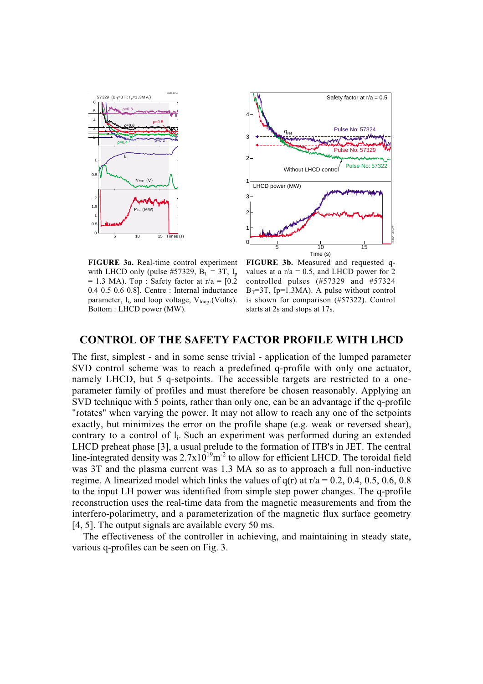



**FIGURE 3a.** Real-time control experiment with LHCD only (pulse #57329,  $B_T = 3T$ ,  $I_p$  $= 1.3$  MA). Top : Safety factor at r/a  $= [0.2]$ 0.4 0.5 0.6 0.8]. Centre : Internal inductance parameter,  $l_i$ , and loop voltage,  $V_{loop}$ . (Volts). Bottom : LHCD power (MW).

**FIGURE 3b.** Measured and requested qvalues at a  $r/a = 0.5$ , and LHCD power for 2 controlled pulses (#57329 and #57324  $B_T = 3T$ , Ip=1.3MA). A pulse without control is shown for comparison (#57322). Control starts at 2s and stops at 17s.

# **CONTROL OF THE SAFETY FACTOR PROFILE WITH LHCD**

The first, simplest - and in some sense trivial - application of the lumped parameter SVD control scheme was to reach a predefined q-profile with only one actuator, namely LHCD, but 5 q-setpoints. The accessible targets are restricted to a oneparameter family of profiles and must therefore be chosen reasonably. Applying an SVD technique with 5 points, rather than only one, can be an advantage if the q-profile "rotates" when varying the power. It may not allow to reach any one of the setpoints exactly, but minimizes the error on the profile shape (e.g. weak or reversed shear), contrary to a control of li. Such an experiment was performed during an extended LHCD preheat phase [3], a usual prelude to the formation of ITB's in JET. The central line-integrated density was  $2.7 \times 10^{19}$  m<sup>-2</sup> to allow for efficient LHCD. The toroidal field was 3T and the plasma current was 1.3 MA so as to approach a full non-inductive regime. A linearized model which links the values of  $q(r)$  at  $r/a = 0.2$ , 0.4, 0.5, 0.6, 0.8 to the input LH power was identified from simple step power changes. The q-profile reconstruction uses the real-time data from the magnetic measurements and from the interfero-polarimetry, and a parameterization of the magnetic flux surface geometry [4, 5]. The output signals are available every 50 ms.

The effectiveness of the controller in achieving, and maintaining in steady state, various q-profiles can be seen on Fig. 3.